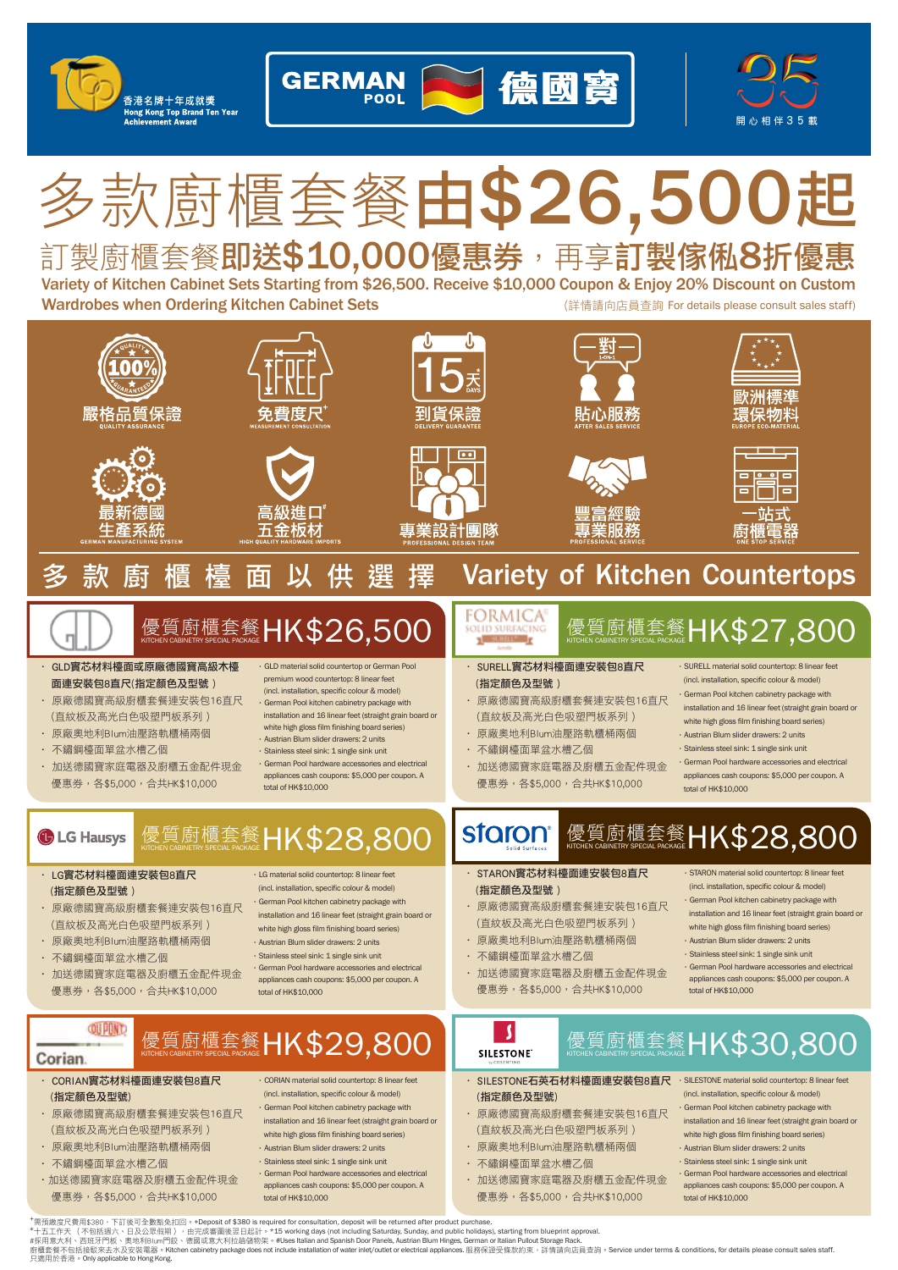

# 訂製廚櫃套餐即送\$10,000優惠券,再享訂製傢俬8折優惠 多款廚櫃套餐由\$26,500起

(詳情請向店員查詢 For details please consult sales staff) Variety of Kitchen Cabinet Sets Starting from \$26,500. Receive \$10,000 Coupon & Enjoy 20% Discount on Custom Wardrobes when Ordering Kitchen Cabinet Sets

U 嚴格品質保證 雪度F 專業設計團隊 **Variety of Kitchen Countertops** 優質廚櫃套餐 HK\$26,500 HK\$26,500 LEORMICA <sub>優質廚櫃套餐</sub> HK\$27,800

• GLD實芯材料檯面或原廠德國寶高級木檯 面連安裝包8直尺(指定顏色及型號 )

香港名牌十年成就獎 ng Kong Top Brand Ten Year<br>bievement Award

- 原廠德國寶高級廚櫃套餐連安裝包16直尺 (直紋板及高光白色吸塑門板系列 )
- 原廠奧地利Blum油壓路軌櫃桶兩個
- 不鏽鋼檯面單盆水槽乙個
- 加送德國寶家庭電器及廚櫃五金配件現金 優惠券,各\$5,000,合共HK\$10,000

•GLD material solid countertop or German Pool premium wood countertop: 8 linear feet

**GERMAN** 

- (incl. installation, specific colour & model)
- •German Pool kitchen cabinetry package with installation and 16 linear feet (straight grain board or white high gloss film finishing board series)
- •Austrian Blum slider drawers: 2 units
- •Stainless steel sink: 1 single sink unit
- •German Pool hardware accessories and electrical appliances cash coupons: \$5,000 per coupon. A total of HK\$10,000

## 質廚櫃套餐 **HK\$28,80 G** LG Hausys

- LG實芯材料檯面連安裝包8直尺 (指定顏色及型號 )
- 原廠德國寶高級廚櫃套餐連安裝包16直尺 (直紋板及高光白色吸塑門板系列 )
- 原廠奧地利Blum油壓路軌櫃桶兩個
- 不鏽鋼檯面單盆水槽乙個

**QUPUND** 

Corian.

- 加送德國寶家庭電器及廚櫃五金配件現金 優惠券,各\$5,000,合共HK\$10,000
- •LG material solid countertop: 8 linear feet (incl. installation, specific colour & model)
- •German Pool kitchen cabinetry package with
- installation and 16 linear feet (straight grain board or
- white high gloss film finishing board series)
- •Austrian Blum slider drawers: 2 units
- •Stainless steel sink: 1 single sink unit
- •German Pool hardware accessories and electrical appliances cash coupons: \$5,000 per coupon. A total of HK\$10,000

# 優質廚櫃套餐-HK\$29,80

- CORIAN實芯材料檯面連安裝包8直尺 (指定顏色及型號)
- 原廠德國寶高級廚櫃套餐連安裝包16直尺 (直紋板及高光白色吸塑門板系列 )
- 原廠奧地利Blum油壓路軌櫃桶兩個
- 不鏽鋼檯面單盆水槽乙個
- •加送德國寶家庭電器及廚櫃五金配件現金 優惠券,各\$5,000,合共HK\$10,000
- •CORIAN material solid countertop: 8 linear feet
	- (incl. installation, specific colour & model) •German Pool kitchen cabinetry package with
- installation and 16 linear feet (straight grain board or white high gloss film finishing board series)
- •Austrian Blum slider drawers: 2 units
- •Stainless steel sink: 1 single sink unit
- •German Pool hardware accessories and electrical appliances cash coupons: \$5,000 per coupon. A total of HK\$10,000

total of HK\$10,000

•SURELL material solid countertop: 8 linear feet (incl. installation, specific colour & model) •German Pool kitchen cabinetry package with installation and 16 linear feet (straight grain board or white high gloss film finishing board series) •Austrian Blum slider drawers: 2 units •Stainless steel sink: 1 single sink unit •German Pool hardware accessories and electrical appliances cash coupons: \$5,000 per coupon. A

• SURELL實芯材料檯面連安裝包8直尺 (指定顏色及型號 )

德國寶

- 原廠德國寶高級廚櫃套餐連安裝包16直尺 (直紋板及高光白色吸塑門板系列 )
- 原廠奧地利Blum油壓路軌櫃桶兩個
- 不鏽鋼檯面單盆水槽乙個
- 加送德國寶家庭電器及廚櫃五金配件現金 優惠券,各\$5,000,合共HK\$10,000

## 優質廚櫃套餐 HK\$28,800 staron

- STARON實芯材料檯面連安裝包8直尺 (指定顏色及型號 )
- 原廠德國寶高級廚櫃套餐連安裝包16直尺 (直紋板及高光白色吸塑門板系列 )
- 原廠奧地利Blum油壓路軌櫃桶兩個
- 不鏽鋼檯面單盆水槽乙個
- 加送德國寶家庭電器及廚櫃五金配件現金 優惠券,各\$5,000,合共HK\$10,000
- •STARON material solid countertop: 8 linear feet (incl. installation, specific colour & model) •German Pool kitchen cabinetry package with
- installation and 16 linear feet (straight grain board or white high gloss film finishing board series)
- •Austrian Blum slider drawers: 2 units •Stainless steel sink: 1 single sink unit
- •German Pool hardware accessories and electrical appliances cash coupons: \$5,000 per coupon. A total of HK\$10,000



- SILESTONE石英石材料檯面連安裝包8直尺 (指定顏色及型號)
- 原廠德國寶高級廚櫃套餐連安裝包16直尺 (直紋板及高光白色吸塑門板系列 )
- 原廠奧地利Blum油壓路軌櫃桶兩個
- 不鏽鋼檯面單盆水槽乙個
- 加送德國寶家庭電器及廚櫃五金配件現金 優惠券,各\$5,000,合共HK\$10,000
- •SILESTONE material solid countertop: 8 linear feet (incl. installation, specific colour & model)
- •German Pool kitchen cabinetry package with installation and 16 linear feet (straight grain board or white high gloss film finishing board series)
- •Austrian Blum slider drawers: 2 units

優質廚櫃套餐 **HK\$30,800** 

- •Stainless steel sink: 1 single sink unit
- •German Pool hardware accessories and electrical appliances cash coupons: \$5,000 per coupon. A total of HK\$10,000

\*需預繳度尺費用\$380,下訂後可全數豁免扣回。+Deposit of \$380 is required for consultation, deposit will be returned after product purchase.<br>\*十五工作天(不包括週六、日及公眾假期),由完成審圖後翌日起計。\*15 working days (not including Saturday, Sunday, and public holidays 只適用於香港。Only applicable to Hong Kong.